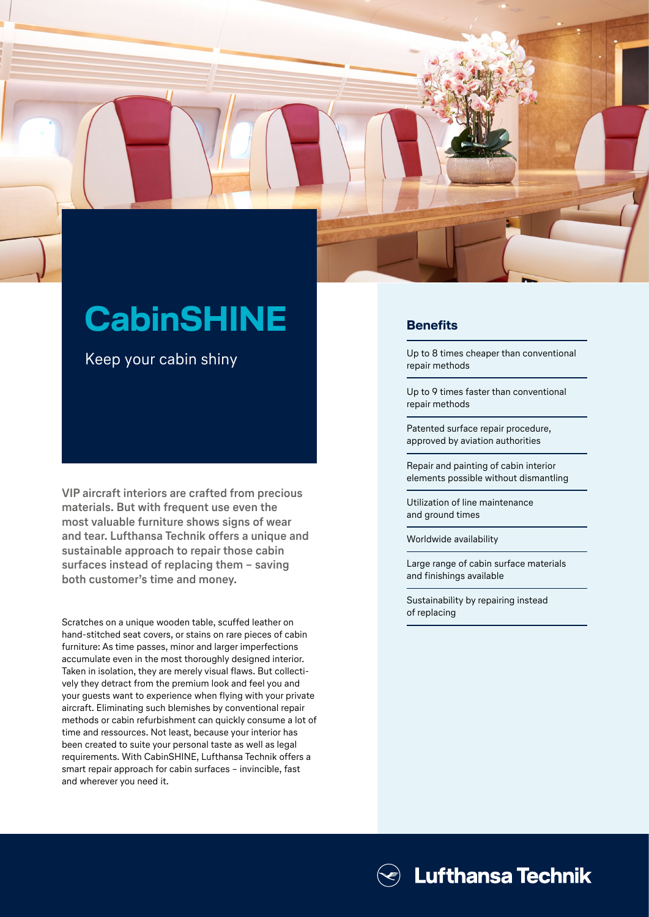

Keep your cabin shiny

**VIP aircraft interiors are crafted from precious materials. But with frequent use even the most valuable furniture shows signs of wear and tear. Lufthansa Technik offers a unique and sustainable approach to repair those cabin surfaces instead of replacing them – saving both customer's time and money.** 

Scratches on a unique wooden table, scuffed leather on hand-stitched seat covers, or stains on rare pieces of cabin furniture: As time passes, minor and larger imperfections accumulate even in the most thoroughly designed interior. Taken in isolation, they are merely visual flaws. But collectively they detract from the premium look and feel you and your guests want to experience when flying with your private aircraft. Eliminating such blemishes by conventional repair methods or cabin refurbishment can quickly consume a lot of time and ressources. Not least, because your interior has been created to suite your personal taste as well as legal requirements. With CabinSHINE, Lufthansa Technik offers a smart repair approach for cabin surfaces – invincible, fast and wherever you need it.

## **Benefits**

Up to 8 times cheaper than conventional repair methods

Up to 9 times faster than conventional repair methods

Patented surface repair procedure, approved by aviation authorities

Repair and painting of cabin interior elements possible without dismantling

Utilization of line maintenance and ground times

Worldwide availability

Large range of cabin surface materials and finishings available

Sustainability by repairing instead of replacing